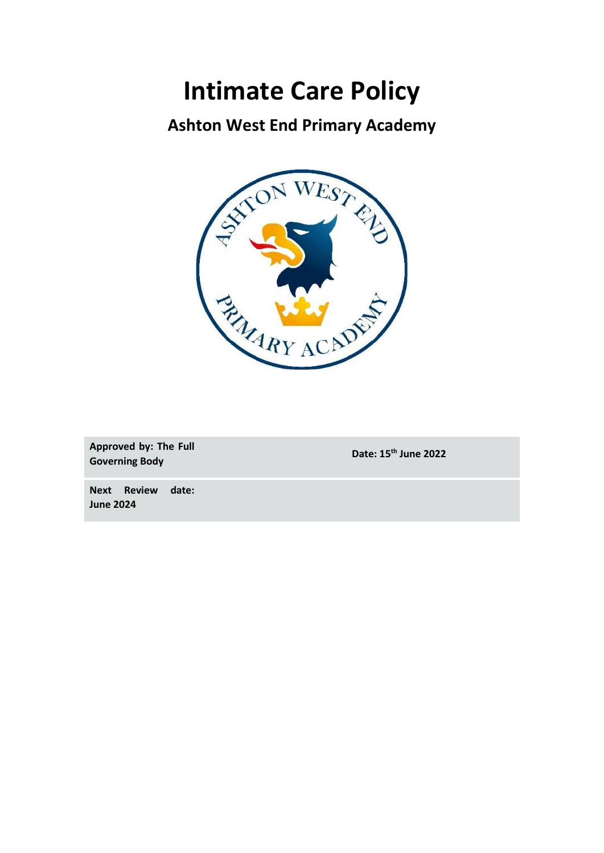# **Intimate Care Policy**

### **Ashton West End Primary Academy**



**Approved by: The Full Governing Body Date: 15th June 2022**

**Next Review date: June 2024**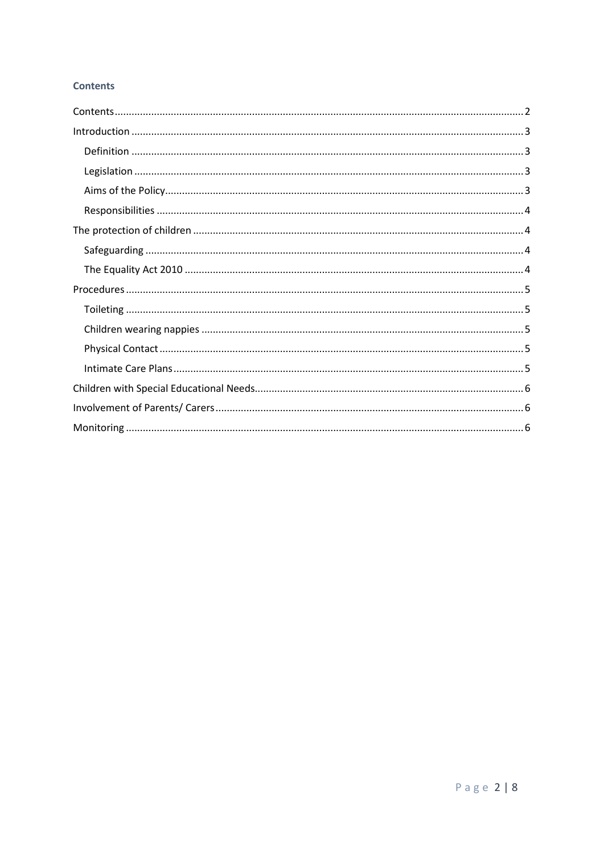### **Contents**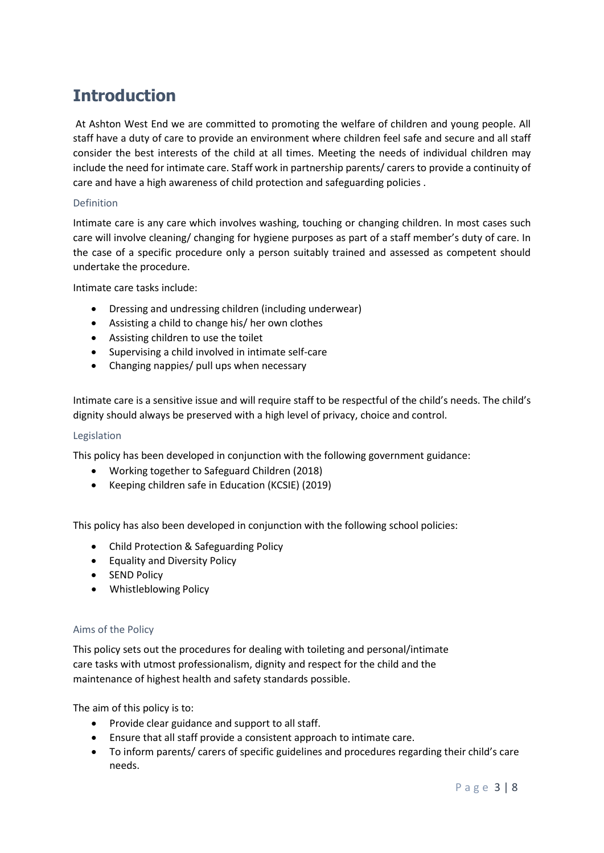# **Introduction**

At Ashton West End we are committed to promoting the welfare of children and young people. All staff have a duty of care to provide an environment where children feel safe and secure and all staff consider the best interests of the child at all times. Meeting the needs of individual children may include the need for intimate care. Staff work in partnership parents/ carers to provide a continuity of care and have a high awareness of child protection and safeguarding policies .

#### Definition

Intimate care is any care which involves washing, touching or changing children. In most cases such care will involve cleaning/ changing for hygiene purposes as part of a staff member's duty of care. In the case of a specific procedure only a person suitably trained and assessed as competent should undertake the procedure.

Intimate care tasks include:

- Dressing and undressing children (including underwear)
- Assisting a child to change his/ her own clothes
- Assisting children to use the toilet
- Supervising a child involved in intimate self-care
- Changing nappies/ pull ups when necessary

Intimate care is a sensitive issue and will require staff to be respectful of the child's needs. The child's dignity should always be preserved with a high level of privacy, choice and control.

#### Legislation

This policy has been developed in conjunction with the following government guidance:

- Working together to Safeguard Children (2018)
- Keeping children safe in Education (KCSIE) (2019)

This policy has also been developed in conjunction with the following school policies:

- Child Protection & Safeguarding Policy
- Equality and Diversity Policy
- SEND Policy
- Whistleblowing Policy

#### Aims of the Policy

This policy sets out the procedures for dealing with toileting and personal/intimate care tasks with utmost professionalism, dignity and respect for the child and the maintenance of highest health and safety standards possible.

The aim of this policy is to:

- Provide clear guidance and support to all staff.
- Ensure that all staff provide a consistent approach to intimate care.
- To inform parents/ carers of specific guidelines and procedures regarding their child's care needs.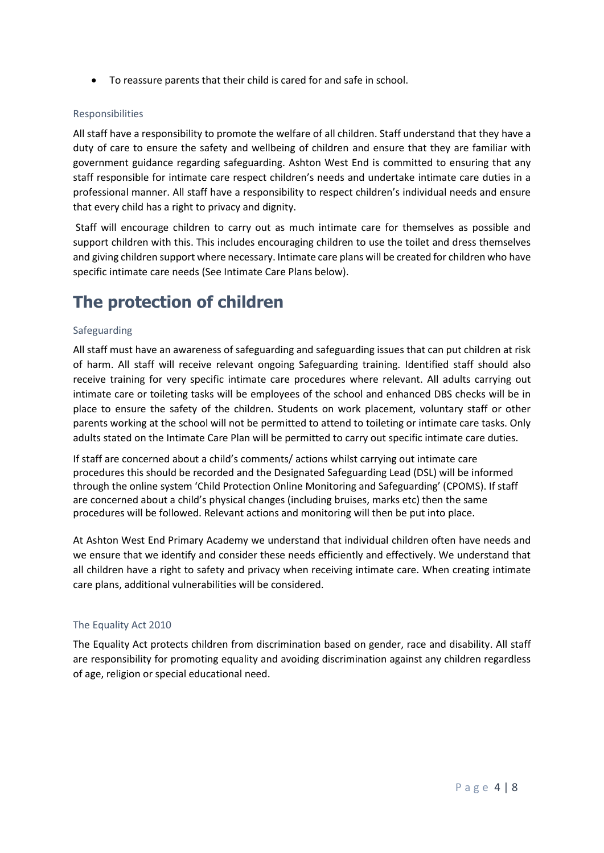• To reassure parents that their child is cared for and safe in school.

#### Responsibilities

All staff have a responsibility to promote the welfare of all children. Staff understand that they have a duty of care to ensure the safety and wellbeing of children and ensure that they are familiar with government guidance regarding safeguarding. Ashton West End is committed to ensuring that any staff responsible for intimate care respect children's needs and undertake intimate care duties in a professional manner. All staff have a responsibility to respect children's individual needs and ensure that every child has a right to privacy and dignity.

Staff will encourage children to carry out as much intimate care for themselves as possible and support children with this. This includes encouraging children to use the toilet and dress themselves and giving children support where necessary. Intimate care plans will be created for children who have specific intimate care needs (See Intimate Care Plans below).

### **The protection of children**

#### Safeguarding

All staff must have an awareness of safeguarding and safeguarding issues that can put children at risk of harm. All staff will receive relevant ongoing Safeguarding training. Identified staff should also receive training for very specific intimate care procedures where relevant. All adults carrying out intimate care or toileting tasks will be employees of the school and enhanced DBS checks will be in place to ensure the safety of the children. Students on work placement, voluntary staff or other parents working at the school will not be permitted to attend to toileting or intimate care tasks. Only adults stated on the Intimate Care Plan will be permitted to carry out specific intimate care duties.

If staff are concerned about a child's comments/ actions whilst carrying out intimate care procedures this should be recorded and the Designated Safeguarding Lead (DSL) will be informed through the online system 'Child Protection Online Monitoring and Safeguarding' (CPOMS). If staff are concerned about a child's physical changes (including bruises, marks etc) then the same procedures will be followed. Relevant actions and monitoring will then be put into place.

At Ashton West End Primary Academy we understand that individual children often have needs and we ensure that we identify and consider these needs efficiently and effectively. We understand that all children have a right to safety and privacy when receiving intimate care. When creating intimate care plans, additional vulnerabilities will be considered.

#### The Equality Act 2010

The Equality Act protects children from discrimination based on gender, race and disability. All staff are responsibility for promoting equality and avoiding discrimination against any children regardless of age, religion or special educational need.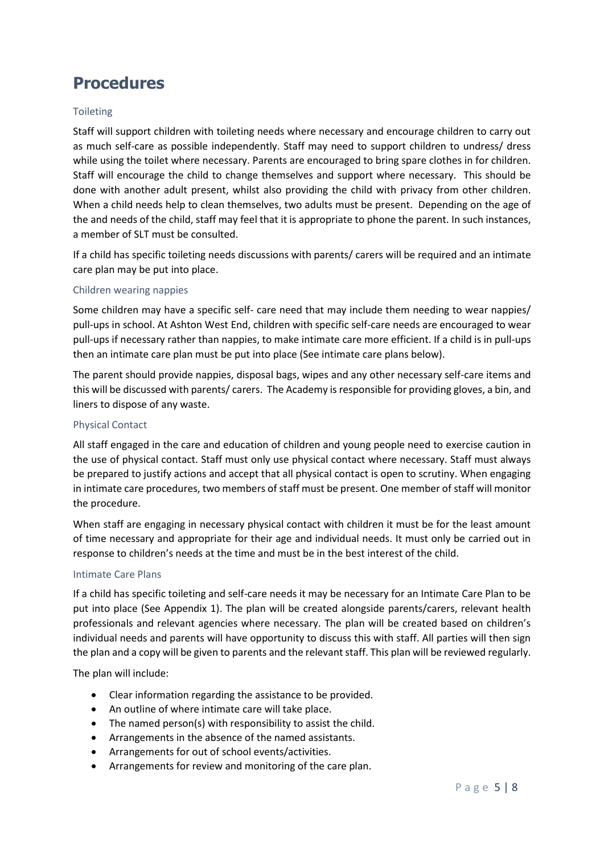### **Procedures**

### Toileting

Staff will support children with toileting needs where necessary and encourage children to carry out as much self-care as possible independently. Staff may need to support children to undress/ dress while using the toilet where necessary. Parents are encouraged to bring spare clothes in for children. Staff will encourage the child to change themselves and support where necessary. This should be done with another adult present, whilst also providing the child with privacy from other children. When a child needs help to clean themselves, two adults must be present. Depending on the age of the and needs of the child, staff may feel that it is appropriate to phone the parent. In such instances, a member of SLT must be consulted.

If a child has specific toileting needs discussions with parents/ carers will be required and an intimate care plan may be put into place.

#### Children wearing nappies

Some children may have a specific self- care need that may include them needing to wear nappies/ pull-ups in school. At Ashton West End, children with specific self-care needs are encouraged to wear pull-ups if necessary rather than nappies, to make intimate care more efficient. If a child is in pull-ups then an intimate care plan must be put into place (See intimate care plans below).

The parent should provide nappies, disposal bags, wipes and any other necessary self-care items and this will be discussed with parents/ carers. The Academy is responsible for providing gloves, a bin, and liners to dispose of any waste.

#### Physical Contact

All staff engaged in the care and education of children and young people need to exercise caution in the use of physical contact. Staff must only use physical contact where necessary. Staff must always be prepared to justify actions and accept that all physical contact is open to scrutiny. When engaging in intimate care procedures, two members of staff must be present. One member of staff will monitor the procedure.

When staff are engaging in necessary physical contact with children it must be for the least amount of time necessary and appropriate for their age and individual needs. It must only be carried out in response to children's needs at the time and must be in the best interest of the child.

#### Intimate Care Plans

If a child has specific toileting and self-care needs it may be necessary for an Intimate Care Plan to be put into place (See Appendix 1). The plan will be created alongside parents/carers, relevant health professionals and relevant agencies where necessary. The plan will be created based on children's individual needs and parents will have opportunity to discuss this with staff. All parties will then sign the plan and a copy will be given to parents and the relevant staff. This plan will be reviewed regularly.

The plan will include:

- Clear information regarding the assistance to be provided.
- An outline of where intimate care will take place.
- The named person(s) with responsibility to assist the child.
- Arrangements in the absence of the named assistants.
- Arrangements for out of school events/activities.
- Arrangements for review and monitoring of the care plan.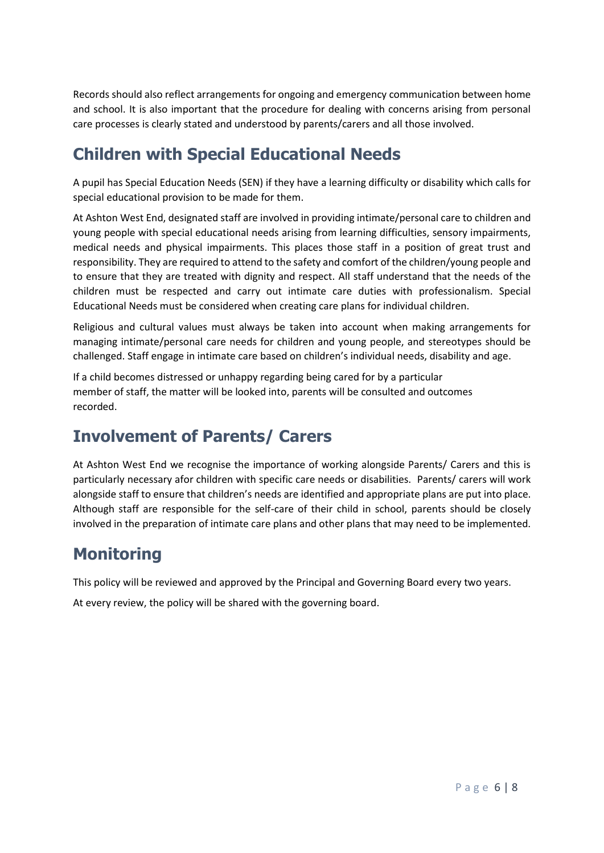Records should also reflect arrangements for ongoing and emergency communication between home and school. It is also important that the procedure for dealing with concerns arising from personal care processes is clearly stated and understood by parents/carers and all those involved.

# **Children with Special Educational Needs**

A pupil has Special Education Needs (SEN) if they have a learning difficulty or disability which calls for special educational provision to be made for them.

At Ashton West End, designated staff are involved in providing intimate/personal care to children and young people with special educational needs arising from learning difficulties, sensory impairments, medical needs and physical impairments. This places those staff in a position of great trust and responsibility. They are required to attend to the safety and comfort of the children/young people and to ensure that they are treated with dignity and respect. All staff understand that the needs of the children must be respected and carry out intimate care duties with professionalism. Special Educational Needs must be considered when creating care plans for individual children.

Religious and cultural values must always be taken into account when making arrangements for managing intimate/personal care needs for children and young people, and stereotypes should be challenged. Staff engage in intimate care based on children's individual needs, disability and age.

If a child becomes distressed or unhappy regarding being cared for by a particular member of staff, the matter will be looked into, parents will be consulted and outcomes recorded.

# **Involvement of Parents/ Carers**

At Ashton West End we recognise the importance of working alongside Parents/ Carers and this is particularly necessary afor children with specific care needs or disabilities. Parents/ carers will work alongside staff to ensure that children's needs are identified and appropriate plans are put into place. Although staff are responsible for the self-care of their child in school, parents should be closely involved in the preparation of intimate care plans and other plans that may need to be implemented.

# **Monitoring**

This policy will be reviewed and approved by the Principal and Governing Board every two years.

At every review, the policy will be shared with the governing board.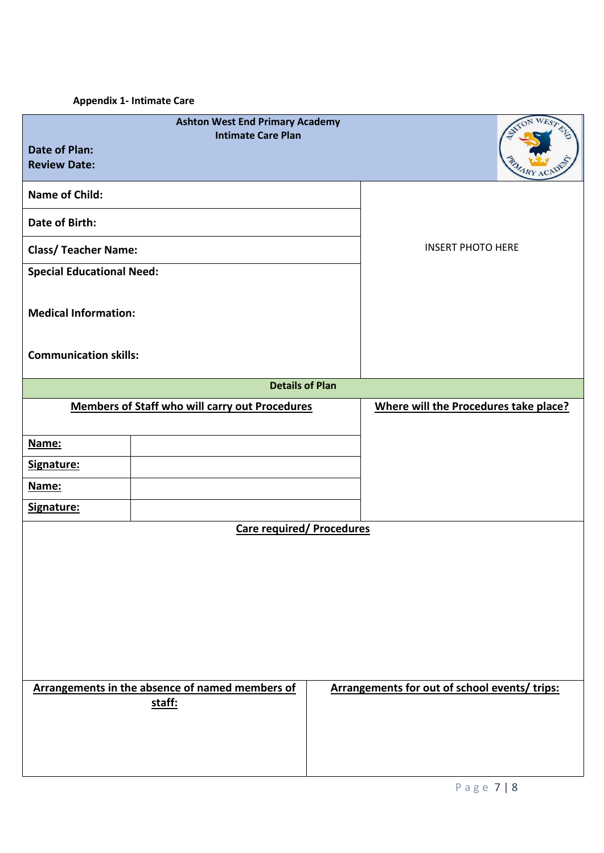### **Appendix 1- Intimate Care**

| <b>Date of Plan:</b><br><b>Review Date:</b> | <b>Ashton West End Primary Academy</b><br><b>Intimate Care Plan</b> |  |                                               |  |
|---------------------------------------------|---------------------------------------------------------------------|--|-----------------------------------------------|--|
| <b>Name of Child:</b>                       |                                                                     |  |                                               |  |
| <b>Date of Birth:</b>                       |                                                                     |  |                                               |  |
| <b>Class/ Teacher Name:</b>                 |                                                                     |  | <b>INSERT PHOTO HERE</b>                      |  |
| <b>Special Educational Need:</b>            |                                                                     |  |                                               |  |
| <b>Medical Information:</b>                 |                                                                     |  |                                               |  |
| <b>Communication skills:</b>                |                                                                     |  |                                               |  |
| <b>Details of Plan</b>                      |                                                                     |  |                                               |  |
|                                             | <b>Members of Staff who will carry out Procedures</b>               |  | Where will the Procedures take place?         |  |
| Name:                                       |                                                                     |  |                                               |  |
| Signature:                                  |                                                                     |  |                                               |  |
| Name:                                       |                                                                     |  |                                               |  |
| Signature:                                  |                                                                     |  |                                               |  |
| <b>Care required/ Procedures</b>            |                                                                     |  |                                               |  |
|                                             |                                                                     |  |                                               |  |
|                                             | Arrangements in the absence of named members of<br>staff:           |  | Arrangements for out of school events/ trips: |  |